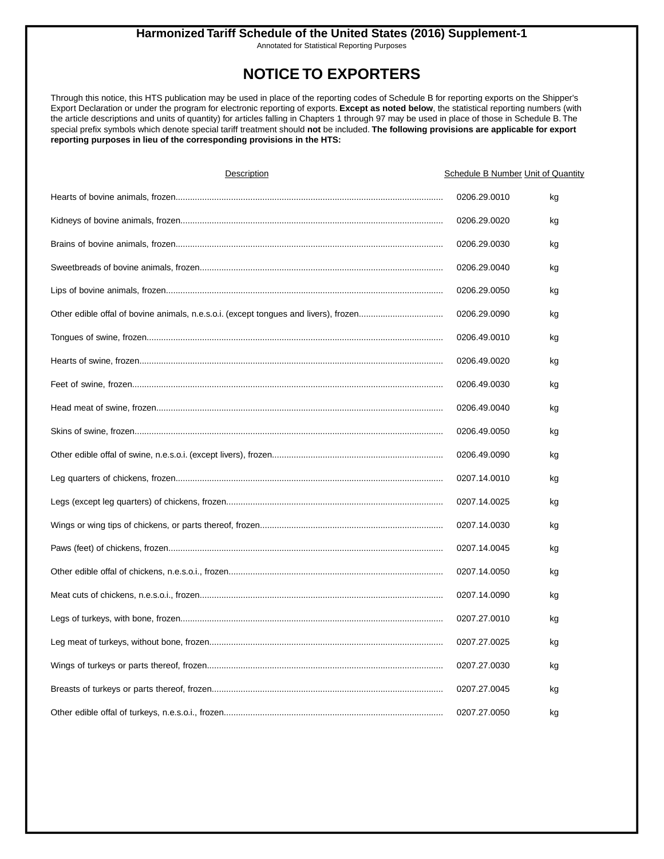Annotated for Statistical Reporting Purposes

### **NOTICE TO EXPORTERS**

Through this notice, this HTS publication may be used in place of the reporting codes of Schedule B for reporting exports on the Shipper's Export Declaration or under the program for electronic reporting of exports. **Except as noted below**, the statistical reporting numbers (with the article descriptions and units of quantity) for articles falling in Chapters 1 through 97 may be used in place of those in Schedule B. The special prefix symbols which denote special tariff treatment should **not** be included. **The following provisions are applicable for export reporting purposes in lieu of the corresponding provisions in the HTS:**

| Description | <b>Schedule B Number Unit of Quantity</b> |    |
|-------------|-------------------------------------------|----|
|             | 0206.29.0010                              | kg |
|             | 0206.29.0020                              | kg |
|             | 0206.29.0030                              | kg |
|             | 0206.29.0040                              | kg |
|             | 0206.29.0050                              | kg |
|             | 0206.29.0090                              | kg |
|             | 0206.49.0010                              | kg |
|             | 0206.49.0020                              | kg |
|             | 0206.49.0030                              | kg |
|             | 0206.49.0040                              | kg |
|             | 0206.49.0050                              | kg |
|             | 0206.49.0090                              | kg |
|             | 0207.14.0010                              | kg |
|             | 0207.14.0025                              | kg |
|             | 0207.14.0030                              | kg |
|             | 0207.14.0045                              | kg |
|             | 0207.14.0050                              | kg |
|             | 0207.14.0090                              | kg |
|             | 0207.27.0010                              | kg |
|             | 0207.27.0025                              | kg |
|             | 0207.27.0030                              | kg |
|             | 0207.27.0045                              | kg |
|             | 0207.27.0050                              | kg |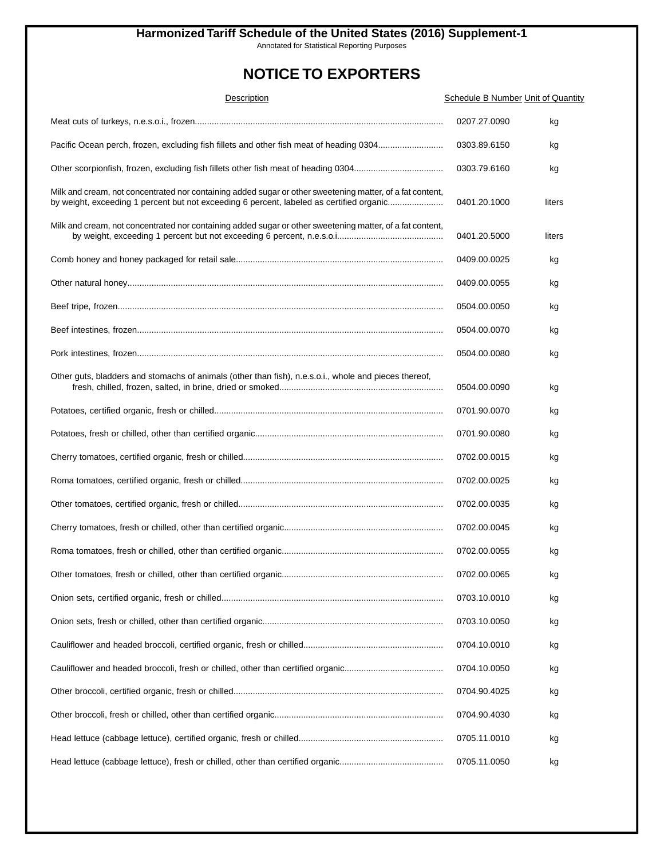Annotated for Statistical Reporting Purposes

| Description                                                                                                                                                                                           | <b>Schedule B Number Unit of Quantity</b> |        |
|-------------------------------------------------------------------------------------------------------------------------------------------------------------------------------------------------------|-------------------------------------------|--------|
|                                                                                                                                                                                                       | 0207.27.0090                              | kg     |
| Pacific Ocean perch, frozen, excluding fish fillets and other fish meat of heading 0304                                                                                                               | 0303.89.6150                              | kg     |
|                                                                                                                                                                                                       | 0303.79.6160                              | kg     |
| Milk and cream, not concentrated nor containing added sugar or other sweetening matter, of a fat content,<br>by weight, exceeding 1 percent but not exceeding 6 percent, labeled as certified organic | 0401.20.1000                              | liters |
| Milk and cream, not concentrated nor containing added sugar or other sweetening matter, of a fat content,                                                                                             | 0401.20.5000                              | liters |
|                                                                                                                                                                                                       | 0409.00.0025                              | kg     |
|                                                                                                                                                                                                       | 0409.00.0055                              | kg     |
|                                                                                                                                                                                                       | 0504.00.0050                              | kg     |
|                                                                                                                                                                                                       | 0504.00.0070                              | kg     |
|                                                                                                                                                                                                       | 0504.00.0080                              | kg     |
| Other guts, bladders and stomachs of animals (other than fish), n.e.s.o.i., whole and pieces thereof,                                                                                                 | 0504.00.0090                              | kg     |
|                                                                                                                                                                                                       | 0701.90.0070                              | kg     |
|                                                                                                                                                                                                       | 0701.90.0080                              | kg     |
|                                                                                                                                                                                                       | 0702.00.0015                              | kg     |
|                                                                                                                                                                                                       | 0702.00.0025                              | kg     |
|                                                                                                                                                                                                       | 0702.00.0035                              | kg     |
|                                                                                                                                                                                                       | 0702.00.0045                              | kg     |
|                                                                                                                                                                                                       | 0702.00.0055                              | kg     |
|                                                                                                                                                                                                       | 0702.00.0065                              | kg     |
|                                                                                                                                                                                                       | 0703.10.0010                              | kg     |
|                                                                                                                                                                                                       | 0703.10.0050                              | kg     |
|                                                                                                                                                                                                       | 0704.10.0010                              | kg     |
|                                                                                                                                                                                                       | 0704.10.0050                              | kg     |
|                                                                                                                                                                                                       | 0704.90.4025                              | kg     |
|                                                                                                                                                                                                       | 0704.90.4030                              | kg     |
|                                                                                                                                                                                                       | 0705.11.0010                              | kg     |
|                                                                                                                                                                                                       | 0705.11.0050                              | kg     |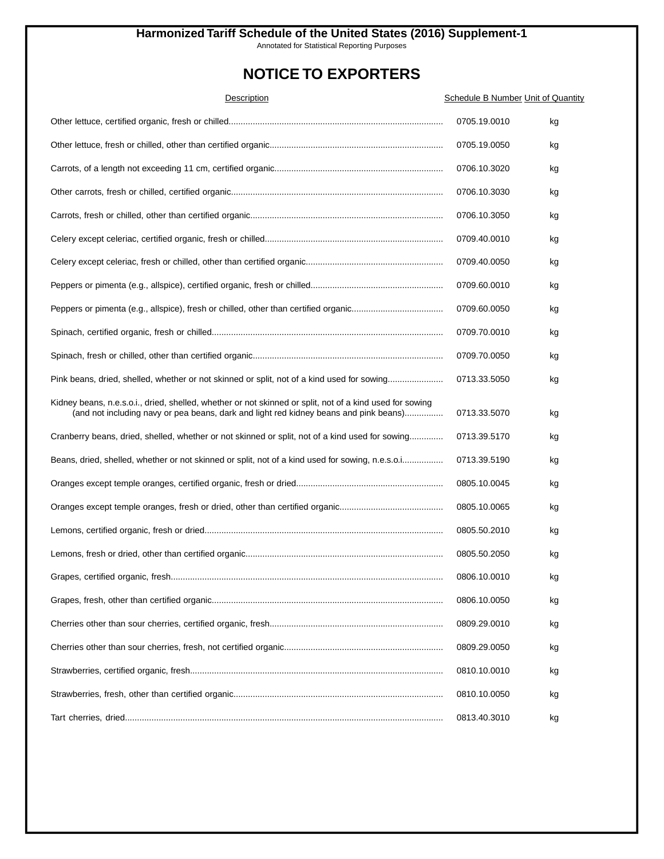Annotated for Statistical Reporting Purposes

| Description                                                                                                                                                                                       | <b>Schedule B Number Unit of Quantity</b> |    |
|---------------------------------------------------------------------------------------------------------------------------------------------------------------------------------------------------|-------------------------------------------|----|
|                                                                                                                                                                                                   | 0705.19.0010                              | kg |
|                                                                                                                                                                                                   | 0705.19.0050                              | kg |
|                                                                                                                                                                                                   | 0706.10.3020                              | kg |
|                                                                                                                                                                                                   | 0706.10.3030                              | kg |
|                                                                                                                                                                                                   | 0706.10.3050                              | kg |
|                                                                                                                                                                                                   | 0709.40.0010                              | kg |
|                                                                                                                                                                                                   | 0709.40.0050                              | kg |
|                                                                                                                                                                                                   | 0709.60.0010                              | kg |
|                                                                                                                                                                                                   | 0709.60.0050                              | kg |
|                                                                                                                                                                                                   | 0709.70.0010                              | kg |
|                                                                                                                                                                                                   | 0709.70.0050                              | kg |
| Pink beans, dried, shelled, whether or not skinned or split, not of a kind used for sowing                                                                                                        | 0713.33.5050                              | kg |
| Kidney beans, n.e.s.o.i., dried, shelled, whether or not skinned or split, not of a kind used for sowing<br>(and not including navy or pea beans, dark and light red kidney beans and pink beans) | 0713.33.5070                              | kg |
| Cranberry beans, dried, shelled, whether or not skinned or split, not of a kind used for sowing                                                                                                   | 0713.39.5170                              | kg |
| Beans, dried, shelled, whether or not skinned or split, not of a kind used for sowing, n.e.s.o.i                                                                                                  | 0713.39.5190                              | kg |
|                                                                                                                                                                                                   | 0805.10.0045                              | kg |
|                                                                                                                                                                                                   | 0805.10.0065                              | kg |
|                                                                                                                                                                                                   | 0805.50.2010                              | kg |
|                                                                                                                                                                                                   | 0805.50.2050                              | kg |
|                                                                                                                                                                                                   | 0806.10.0010                              | kg |
|                                                                                                                                                                                                   | 0806.10.0050                              | kg |
|                                                                                                                                                                                                   | 0809.29.0010                              | kg |
|                                                                                                                                                                                                   | 0809.29.0050                              | kg |
|                                                                                                                                                                                                   | 0810.10.0010                              | kg |
|                                                                                                                                                                                                   | 0810.10.0050                              | kg |
|                                                                                                                                                                                                   | 0813.40.3010                              | kg |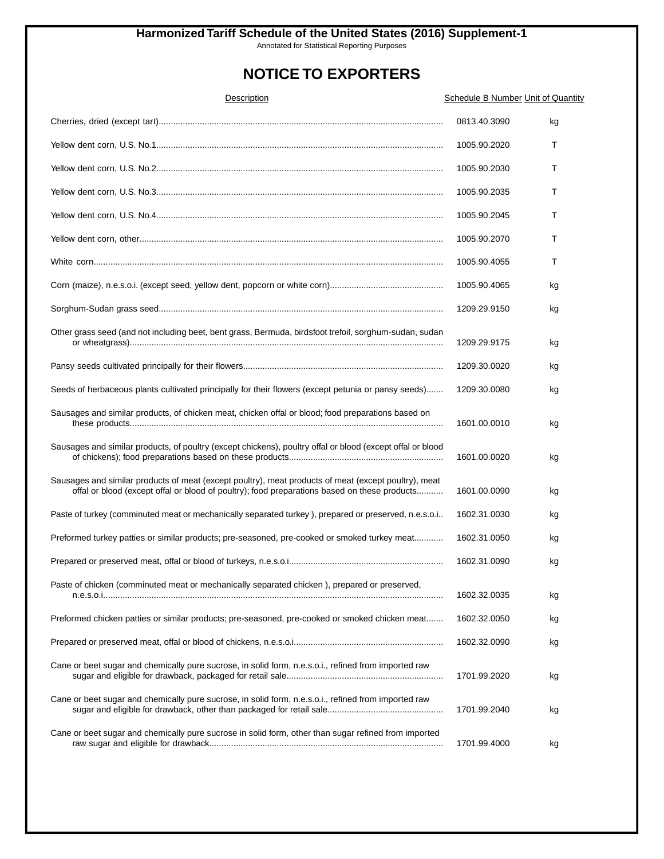Annotated for Statistical Reporting Purposes

| Description                                                                                                                                                                                          | <b>Schedule B Number Unit of Quantity</b> |    |
|------------------------------------------------------------------------------------------------------------------------------------------------------------------------------------------------------|-------------------------------------------|----|
|                                                                                                                                                                                                      | 0813.40.3090                              | kg |
|                                                                                                                                                                                                      | 1005.90.2020                              | Т  |
|                                                                                                                                                                                                      | 1005.90.2030                              | т  |
|                                                                                                                                                                                                      | 1005.90.2035                              | т  |
|                                                                                                                                                                                                      | 1005.90.2045                              | Т  |
|                                                                                                                                                                                                      | 1005.90.2070                              | т  |
|                                                                                                                                                                                                      | 1005.90.4055                              | т  |
|                                                                                                                                                                                                      | 1005.90.4065                              | kg |
|                                                                                                                                                                                                      | 1209.29.9150                              | kg |
| Other grass seed (and not including beet, bent grass, Bermuda, birdsfoot trefoil, sorghum-sudan, sudan                                                                                               | 1209.29.9175                              | kg |
|                                                                                                                                                                                                      | 1209.30.0020                              | kg |
| Seeds of herbaceous plants cultivated principally for their flowers (except petunia or pansy seeds)                                                                                                  | 1209.30.0080                              | kg |
| Sausages and similar products, of chicken meat, chicken offal or blood; food preparations based on                                                                                                   | 1601.00.0010                              | kg |
| Sausages and similar products, of poultry (except chickens), poultry offal or blood (except offal or blood                                                                                           | 1601.00.0020                              | kg |
| Sausages and similar products of meat (except poultry), meat products of meat (except poultry), meat<br>offal or blood (except offal or blood of poultry); food preparations based on these products | 1601.00.0090                              | kg |
| Paste of turkey (comminuted meat or mechanically separated turkey), prepared or preserved, n.e.s.o.i                                                                                                 | 1602.31.0030                              | kg |
| Preformed turkey patties or similar products; pre-seasoned, pre-cooked or smoked turkey meat                                                                                                         | 1602.31.0050                              | kg |
|                                                                                                                                                                                                      | 1602.31.0090                              | kg |
| Paste of chicken (comminuted meat or mechanically separated chicken), prepared or preserved,                                                                                                         | 1602.32.0035                              | kg |
| Preformed chicken patties or similar products; pre-seasoned, pre-cooked or smoked chicken meat                                                                                                       | 1602.32.0050                              | kg |
|                                                                                                                                                                                                      | 1602.32.0090                              | kg |
| Cane or beet sugar and chemically pure sucrose, in solid form, n.e.s.o.i., refined from imported raw                                                                                                 | 1701.99.2020                              | kg |
| Cane or beet sugar and chemically pure sucrose, in solid form, n.e.s.o.i., refined from imported raw                                                                                                 | 1701.99.2040                              | kg |
| Cane or beet sugar and chemically pure sucrose in solid form, other than sugar refined from imported                                                                                                 | 1701.99.4000                              | kg |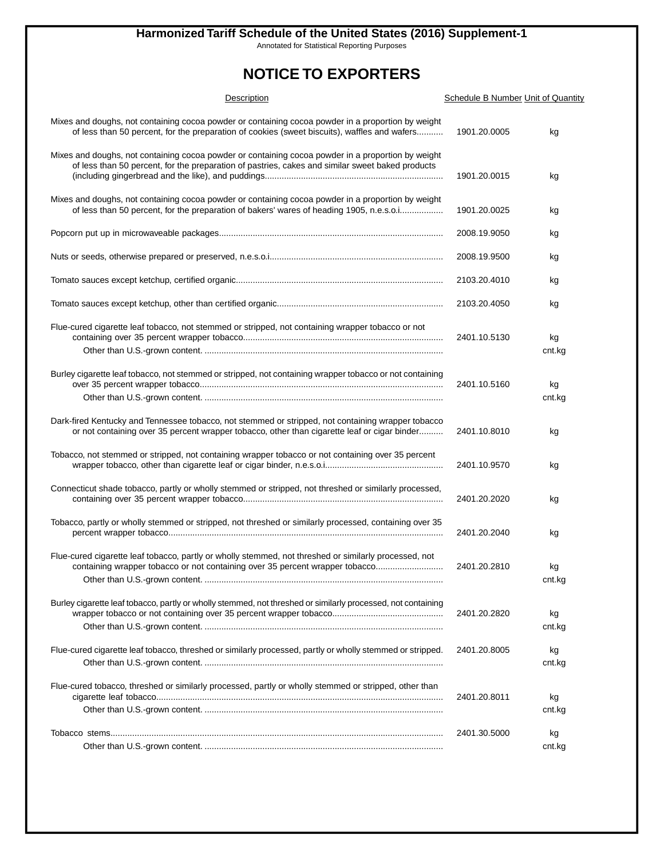Annotated for Statistical Reporting Purposes

| Description                                                                                                                                                                                            | <b>Schedule B Number Unit of Quantity</b> |              |
|--------------------------------------------------------------------------------------------------------------------------------------------------------------------------------------------------------|-------------------------------------------|--------------|
| Mixes and doughs, not containing cocoa powder or containing cocoa powder in a proportion by weight<br>of less than 50 percent, for the preparation of cookies (sweet biscuits), waffles and wafers     | 1901.20.0005                              | kg           |
| Mixes and doughs, not containing cocoa powder or containing cocoa powder in a proportion by weight<br>of less than 50 percent, for the preparation of pastries, cakes and similar sweet baked products | 1901.20.0015                              | kg           |
| Mixes and doughs, not containing cocoa powder or containing cocoa powder in a proportion by weight<br>of less than 50 percent, for the preparation of bakers' wares of heading 1905, n.e.s.o.i         | 1901.20.0025                              | kg           |
|                                                                                                                                                                                                        | 2008.19.9050                              | kg           |
|                                                                                                                                                                                                        | 2008.19.9500                              | kg           |
|                                                                                                                                                                                                        | 2103.20.4010                              | kg           |
|                                                                                                                                                                                                        | 2103.20.4050                              | kg           |
| Flue-cured cigarette leaf tobacco, not stemmed or stripped, not containing wrapper tobacco or not                                                                                                      | 2401.10.5130                              | kg<br>cnt.kg |
| Burley cigarette leaf tobacco, not stemmed or stripped, not containing wrapper tobacco or not containing                                                                                               | 2401.10.5160                              | kg<br>cnt.kg |
| Dark-fired Kentucky and Tennessee tobacco, not stemmed or stripped, not containing wrapper tobacco<br>or not containing over 35 percent wrapper tobacco, other than cigarette leaf or cigar binder     | 2401.10.8010                              | kg           |
| Tobacco, not stemmed or stripped, not containing wrapper tobacco or not containing over 35 percent                                                                                                     | 2401.10.9570                              | kg           |
| Connecticut shade tobacco, partly or wholly stemmed or stripped, not threshed or similarly processed,                                                                                                  | 2401.20.2020                              | kg           |
| Tobacco, partly or wholly stemmed or stripped, not threshed or similarly processed, containing over 35                                                                                                 | 2401.20.2040                              | kg           |
| Flue-cured cigarette leaf tobacco, partly or wholly stemmed, not threshed or similarly processed, not<br>containing wrapper tobacco or not containing over 35 percent wrapper tobacco                  | 2401.20.2810                              | kg<br>cnt.kg |
| Burley cigarette leaf tobacco, partly or wholly stemmed, not threshed or similarly processed, not containing                                                                                           | 2401.20.2820                              | kg<br>cnt.kg |
| Flue-cured cigarette leaf tobacco, threshed or similarly processed, partly or wholly stemmed or stripped.                                                                                              | 2401.20.8005                              | kg<br>cnt.kg |
| Flue-cured tobacco, threshed or similarly processed, partly or wholly stemmed or stripped, other than                                                                                                  | 2401.20.8011                              | kg<br>cnt.kg |
|                                                                                                                                                                                                        | 2401.30.5000                              | kg<br>cnt.kg |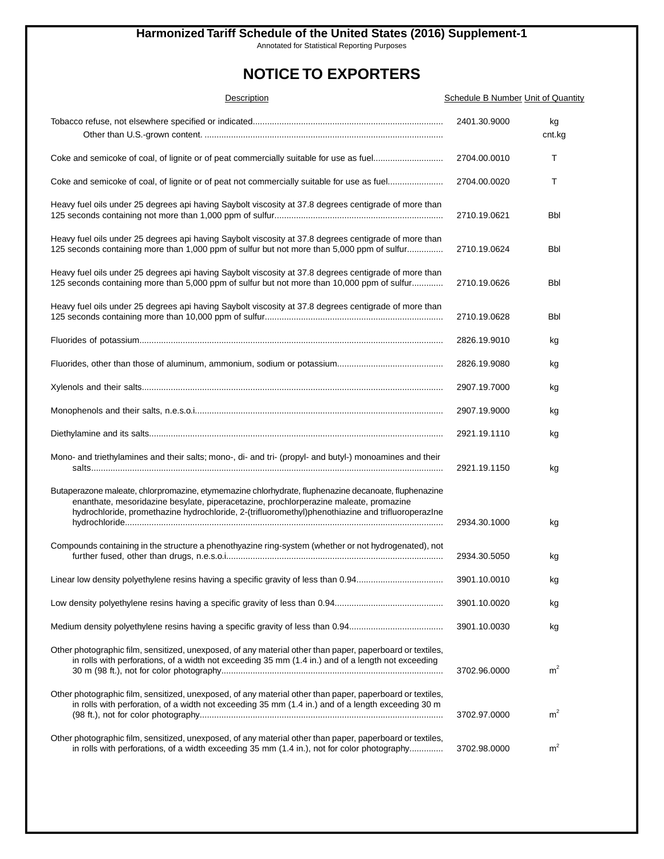Annotated for Statistical Reporting Purposes

| Description                                                                                                                                                                                                                                                                                        | <b>Schedule B Number Unit of Quantity</b> |                |
|----------------------------------------------------------------------------------------------------------------------------------------------------------------------------------------------------------------------------------------------------------------------------------------------------|-------------------------------------------|----------------|
|                                                                                                                                                                                                                                                                                                    | 2401.30.9000                              | kg<br>cnt.kg   |
| Coke and semicoke of coal, of lignite or of peat commercially suitable for use as fuel                                                                                                                                                                                                             | 2704.00.0010                              | Т              |
| Coke and semicoke of coal, of lignite or of peat not commercially suitable for use as fuel                                                                                                                                                                                                         | 2704.00.0020                              | т              |
| Heavy fuel oils under 25 degrees api having Saybolt viscosity at 37.8 degrees centigrade of more than                                                                                                                                                                                              | 2710.19.0621                              | <b>Bbl</b>     |
| Heavy fuel oils under 25 degrees api having Saybolt viscosity at 37.8 degrees centigrade of more than<br>125 seconds containing more than 1,000 ppm of sulfur but not more than 5,000 ppm of sulfur                                                                                                | 2710.19.0624                              | Bbl            |
| Heavy fuel oils under 25 degrees api having Saybolt viscosity at 37.8 degrees centigrade of more than<br>125 seconds containing more than 5,000 ppm of sulfur but not more than 10,000 ppm of sulfur                                                                                               | 2710.19.0626                              | Bbl            |
| Heavy fuel oils under 25 degrees api having Saybolt viscosity at 37.8 degrees centigrade of more than                                                                                                                                                                                              | 2710.19.0628                              | Bbl            |
|                                                                                                                                                                                                                                                                                                    | 2826.19.9010                              | kg             |
|                                                                                                                                                                                                                                                                                                    | 2826.19.9080                              | kg             |
|                                                                                                                                                                                                                                                                                                    | 2907.19.7000                              | kg             |
|                                                                                                                                                                                                                                                                                                    | 2907.19.9000                              | kg             |
|                                                                                                                                                                                                                                                                                                    | 2921.19.1110                              | kg             |
| Mono- and triethylamines and their salts; mono-, di- and tri- (propyl- and butyl-) monoamines and their                                                                                                                                                                                            | 2921.19.1150                              | kg             |
| Butaperazone maleate, chlorpromazine, etymemazine chlorhydrate, fluphenazine decanoate, fluphenazine<br>enanthate, mesoridazine besylate, piperacetazine, prochlorperazine maleate, promazine<br>hydrochloride, promethazine hydrochloride, 2-(trifluoromethyl)phenothiazine and trifluoroperazIne | 2934.30.1000                              | kg             |
| Compounds containing in the structure a phenothyazine ring-system (whether or not hydrogenated), not                                                                                                                                                                                               | 2934.30.5050                              | kg             |
|                                                                                                                                                                                                                                                                                                    | 3901.10.0010                              | kg             |
|                                                                                                                                                                                                                                                                                                    | 3901.10.0020                              | kg             |
|                                                                                                                                                                                                                                                                                                    | 3901.10.0030                              | kg             |
| Other photographic film, sensitized, unexposed, of any material other than paper, paperboard or textiles,<br>in rolls with perforations, of a width not exceeding 35 mm (1.4 in.) and of a length not exceeding                                                                                    | 3702.96.0000                              | m <sup>2</sup> |
| Other photographic film, sensitized, unexposed, of any material other than paper, paperboard or textiles,<br>in rolls with perforation, of a width not exceeding 35 mm (1.4 in.) and of a length exceeding 30 m                                                                                    | 3702.97.0000                              | m <sup>2</sup> |
| Other photographic film, sensitized, unexposed, of any material other than paper, paperboard or textiles,<br>in rolls with perforations, of a width exceeding 35 mm (1.4 in.), not for color photography                                                                                           | 3702.98.0000                              | m <sup>2</sup> |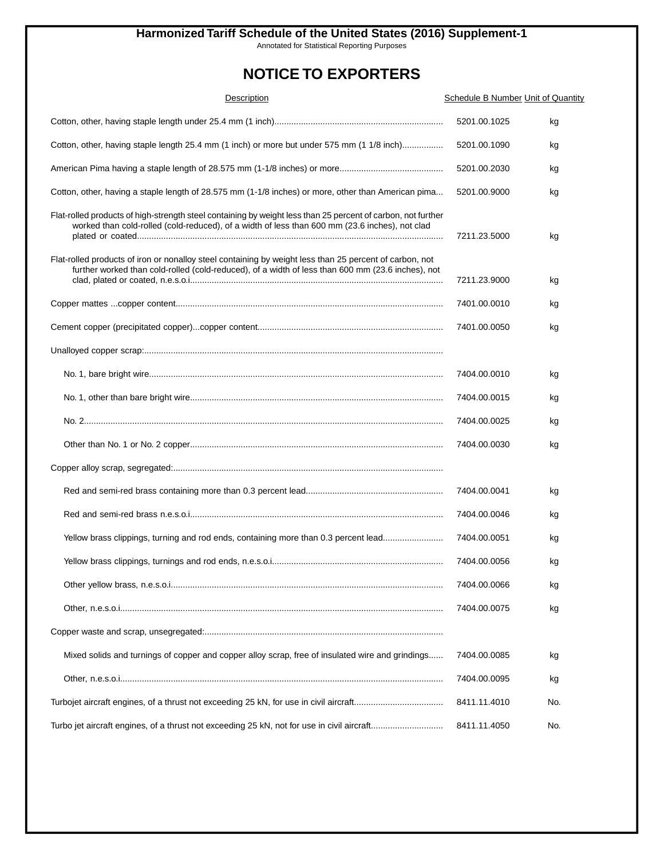Annotated for Statistical Reporting Purposes

| Description                                                                                                                                                                                                    | <b>Schedule B Number Unit of Quantity</b> |     |
|----------------------------------------------------------------------------------------------------------------------------------------------------------------------------------------------------------------|-------------------------------------------|-----|
|                                                                                                                                                                                                                | 5201.00.1025                              | kg  |
| Cotton, other, having staple length 25.4 mm (1 inch) or more but under 575 mm (1 1/8 inch)                                                                                                                     | 5201.00.1090                              | kg  |
|                                                                                                                                                                                                                | 5201.00.2030                              | kg  |
| Cotton, other, having a staple length of 28.575 mm (1-1/8 inches) or more, other than American pima                                                                                                            | 5201.00.9000                              | kg  |
| Flat-rolled products of high-strength steel containing by weight less than 25 percent of carbon, not further<br>worked than cold-rolled (cold-reduced), of a width of less than 600 mm (23.6 inches), not clad | 7211.23.5000                              | kg  |
| Flat-rolled products of iron or nonalloy steel containing by weight less than 25 percent of carbon, not<br>further worked than cold-rolled (cold-reduced), of a width of less than 600 mm (23.6 inches), not   | 7211.23.9000                              | kg  |
|                                                                                                                                                                                                                | 7401.00.0010                              | kg  |
|                                                                                                                                                                                                                | 7401.00.0050                              | kg  |
|                                                                                                                                                                                                                |                                           |     |
|                                                                                                                                                                                                                | 7404.00.0010                              | kg  |
|                                                                                                                                                                                                                | 7404.00.0015                              | kg  |
|                                                                                                                                                                                                                | 7404.00.0025                              | kg  |
|                                                                                                                                                                                                                | 7404.00.0030                              | kg  |
|                                                                                                                                                                                                                |                                           |     |
|                                                                                                                                                                                                                | 7404.00.0041                              | kg  |
|                                                                                                                                                                                                                | 7404.00.0046                              | kg  |
| Yellow brass clippings, turning and rod ends, containing more than 0.3 percent lead                                                                                                                            | 7404.00.0051                              | kg  |
|                                                                                                                                                                                                                | 7404.00.0056                              | kg  |
|                                                                                                                                                                                                                | 7404.00.0066                              | kg  |
|                                                                                                                                                                                                                | 7404.00.0075                              | kg  |
|                                                                                                                                                                                                                |                                           |     |
| Mixed solids and turnings of copper and copper alloy scrap, free of insulated wire and grindings                                                                                                               | 7404.00.0085                              | kg  |
|                                                                                                                                                                                                                | 7404.00.0095                              | kg  |
|                                                                                                                                                                                                                | 8411.11.4010                              | No. |
| Turbo jet aircraft engines, of a thrust not exceeding 25 kN, not for use in civil aircraft                                                                                                                     | 8411.11.4050                              | No. |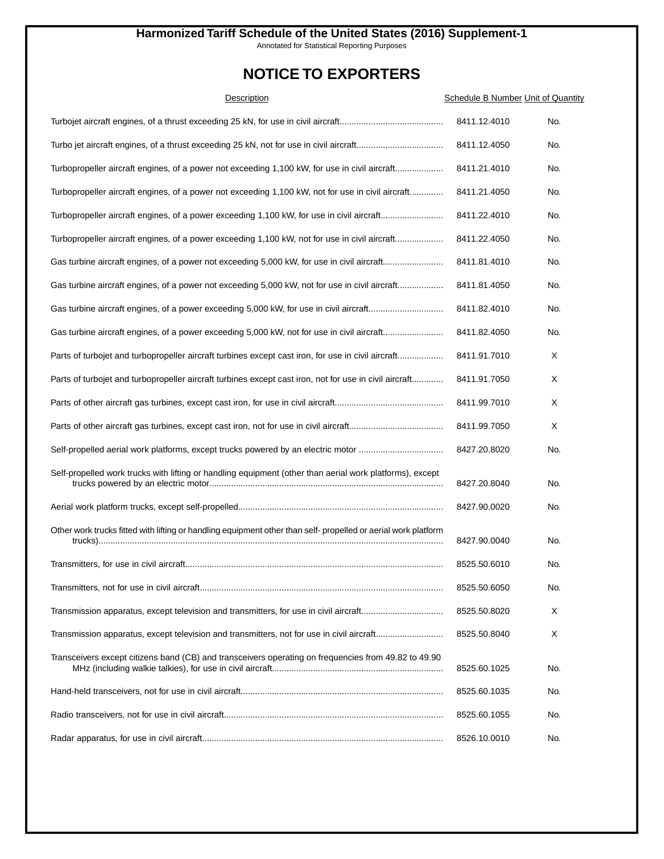Annotated for Statistical Reporting Purposes

| Description                                                                                                    | <b>Schedule B Number Unit of Quantity</b> |     |
|----------------------------------------------------------------------------------------------------------------|-------------------------------------------|-----|
|                                                                                                                | 8411.12.4010                              | No. |
|                                                                                                                | 8411.12.4050                              | No. |
| Turbopropeller aircraft engines, of a power not exceeding 1,100 kW, for use in civil aircraft                  | 8411.21.4010                              | No. |
| Turbopropeller aircraft engines, of a power not exceeding 1,100 kW, not for use in civil aircraft              | 8411.21.4050                              | No. |
| Turbopropeller aircraft engines, of a power exceeding 1,100 kW, for use in civil aircraft                      | 8411.22.4010                              | No. |
| Turbopropeller aircraft engines, of a power exceeding 1,100 kW, not for use in civil aircraft                  | 8411.22.4050                              | No. |
| Gas turbine aircraft engines, of a power not exceeding 5,000 kW, for use in civil aircraft                     | 8411.81.4010                              | No. |
| Gas turbine aircraft engines, of a power not exceeding 5,000 kW, not for use in civil aircraft                 | 8411.81.4050                              | No. |
|                                                                                                                | 8411.82.4010                              | No. |
| Gas turbine aircraft engines, of a power exceeding 5,000 kW, not for use in civil aircraft                     | 8411.82.4050                              | No. |
| Parts of turbojet and turbopropeller aircraft turbines except cast iron, for use in civil aircraft             | 8411.91.7010                              | Χ   |
| Parts of turbojet and turbopropeller aircraft turbines except cast iron, not for use in civil aircraft         | 8411.91.7050                              | Х   |
|                                                                                                                | 8411.99.7010                              | X   |
|                                                                                                                | 8411.99.7050                              | X   |
| Self-propelled aerial work platforms, except trucks powered by an electric motor                               | 8427.20.8020                              | No. |
| Self-propelled work trucks with lifting or handling equipment (other than aerial work platforms), except       | 8427.20.8040                              | No. |
|                                                                                                                | 8427.90.0020                              | No. |
| Other work trucks fitted with lifting or handling equipment other than self- propelled or aerial work platform | 8427.90.0040                              | No. |
|                                                                                                                | 8525.50.6010                              | No. |
|                                                                                                                | 8525.50.6050                              | No. |
|                                                                                                                | 8525.50.8020                              | Χ   |
|                                                                                                                | 8525.50.8040                              | Χ   |
| Transceivers except citizens band (CB) and transceivers operating on frequencies from 49.82 to 49.90           | 8525.60.1025                              | No. |
|                                                                                                                | 8525.60.1035                              | No. |
|                                                                                                                | 8525.60.1055                              | No. |
|                                                                                                                | 8526.10.0010                              | No. |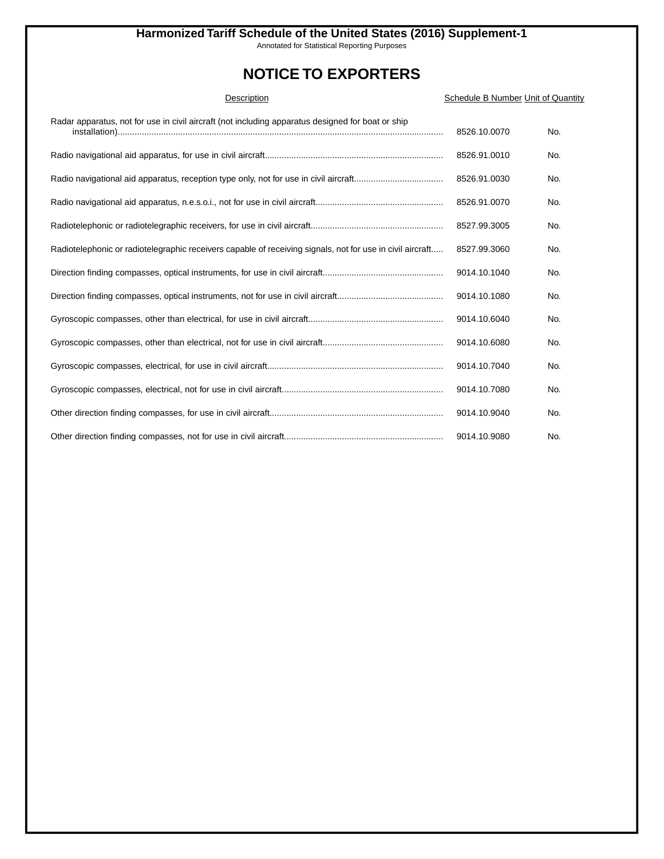Annotated for Statistical Reporting Purposes

| Description                                                                                               | Schedule B Number Unit of Quantity |     |
|-----------------------------------------------------------------------------------------------------------|------------------------------------|-----|
| Radar apparatus, not for use in civil aircraft (not including apparatus designed for boat or ship         | 8526.10.0070                       | No. |
|                                                                                                           | 8526.91.0010                       | No. |
|                                                                                                           | 8526.91.0030                       | No. |
|                                                                                                           | 8526.91.0070                       | No. |
|                                                                                                           | 8527.99.3005                       | No. |
| Radiotelephonic or radiotelegraphic receivers capable of receiving signals, not for use in civil aircraft | 8527.99.3060                       | No. |
|                                                                                                           | 9014.10.1040                       | No. |
|                                                                                                           | 9014.10.1080                       | No. |
|                                                                                                           | 9014.10.6040                       | No. |
|                                                                                                           | 9014.10.6080                       | No. |
|                                                                                                           | 9014.10.7040                       | No. |
|                                                                                                           | 9014.10.7080                       | No. |
|                                                                                                           | 9014.10.9040                       | No. |
|                                                                                                           | 9014.10.9080                       | No. |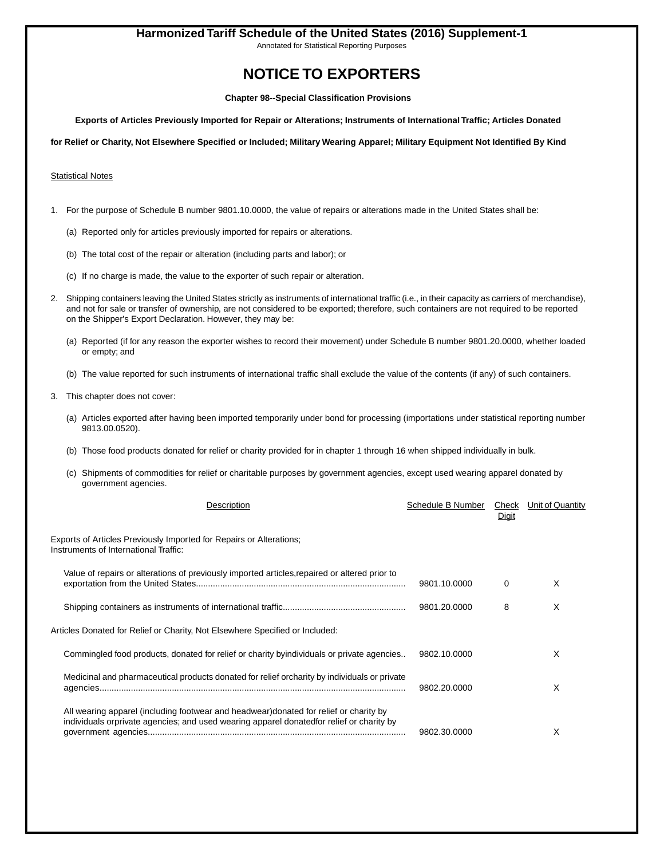Annotated for Statistical Reporting Purposes

### **NOTICE TO EXPORTERS**

**Chapter 98--Special Classification Provisions**

**Exports of Articles Previously Imported for Repair or Alterations; Instruments of International Traffic; Articles Donated**

**for Relief or Charity, Not Elsewhere Specified or Included; Military Wearing Apparel; Military Equipment Not Identified By Kind**

#### **Statistical Notes**

- 1. For the purpose of Schedule B number 9801.10.0000, the value of repairs or alterations made in the United States shall be:
	- (a) Reported only for articles previously imported for repairs or alterations.
	- (b) The total cost of the repair or alteration (including parts and labor); or
	- (c) If no charge is made, the value to the exporter of such repair or alteration.
- 2. Shipping containers leaving the United States strictly as instruments of international traffic (i.e., in their capacity as carriers of merchandise), and not for sale or transfer of ownership, are not considered to be exported; therefore, such containers are not required to be reported on the Shipper's Export Declaration. However, they may be:
	- (a) Reported (if for any reason the exporter wishes to record their movement) under Schedule B number 9801.20.0000, whether loaded or empty; and
	- (b) The value reported for such instruments of international traffic shall exclude the value of the contents (if any) of such containers.
- 3. This chapter does not cover:
	- (a) Articles exported after having been imported temporarily under bond for processing (importations under statistical reporting number 9813.00.0520).
	- (b) Those food products donated for relief or charity provided for in chapter 1 through 16 when shipped individually in bulk.
	- (c) Shipments of commodities for relief or charitable purposes by government agencies, except used wearing apparel donated by government agencies.

| Description                                                                                                                                                                        | Schedule B Number | Check<br>Digit | Unit of Quantity |
|------------------------------------------------------------------------------------------------------------------------------------------------------------------------------------|-------------------|----------------|------------------|
| Exports of Articles Previously Imported for Repairs or Alterations;<br>Instruments of International Traffic:                                                                       |                   |                |                  |
| Value of repairs or alterations of previously imported articles, repaired or altered prior to                                                                                      | 9801.10.0000      | $\Omega$       | X                |
|                                                                                                                                                                                    | 9801.20.0000      | 8              | X                |
| Articles Donated for Relief or Charity, Not Elsewhere Specified or Included:                                                                                                       |                   |                |                  |
| Commingled food products, donated for relief or charity byindividuals or private agencies                                                                                          | 9802.10.0000      |                | X                |
| Medicinal and pharmaceutical products donated for relief orcharity by individuals or private                                                                                       | 9802.20.0000      |                | X                |
| All wearing apparel (including footwear and headwear) donated for relief or charity by<br>individuals orprivate agencies; and used wearing apparel donatedfor relief or charity by | 9802.30.0000      |                | X                |